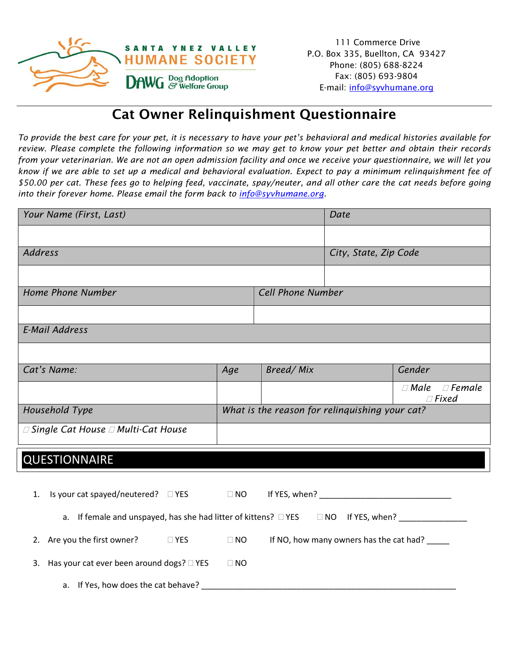

## Cat Owner Relinquishment Questionnaire

*To provide the best care for your pet, it is necessary to have your pet's behavioral and medical histories available for review. Please complete the following information so we may get to know your pet better and obtain their records from your veterinarian. We are not an open admission facility and once we receive your questionnaire, we will let you know if we are able to set up a medical and behavioral evaluation. Expect to pay a minimum relinquishment fee of \$50.00 per cat. These fees go to helping feed, vaccinate, spay/neuter, and all other care the cat needs before going into their forever home. Please email the form back to [info@syvhumane.org.](mailto:info@syvhumane.org)* 

| Your Name (First, Last)                                                                                        |           |                                                | Date                                          |                                           |  |
|----------------------------------------------------------------------------------------------------------------|-----------|------------------------------------------------|-----------------------------------------------|-------------------------------------------|--|
|                                                                                                                |           |                                                |                                               |                                           |  |
| <b>Address</b>                                                                                                 |           | City, State, Zip Code                          |                                               |                                           |  |
|                                                                                                                |           |                                                |                                               |                                           |  |
| Home Phone Number                                                                                              |           | <b>Cell Phone Number</b>                       |                                               |                                           |  |
|                                                                                                                |           |                                                |                                               |                                           |  |
| <b>E-Mail Address</b>                                                                                          |           |                                                |                                               |                                           |  |
|                                                                                                                |           |                                                |                                               |                                           |  |
| Cat's Name:                                                                                                    | Age       | Breed/Mix                                      |                                               | Gender                                    |  |
|                                                                                                                |           |                                                |                                               | $\Box$ Male $\Box$ Female<br>$\Box$ Fixed |  |
| Household Type                                                                                                 |           | What is the reason for relinquishing your cat? |                                               |                                           |  |
| $\Box$ Single Cat House $\Box$ Multi-Cat House                                                                 |           |                                                |                                               |                                           |  |
| <b>QUESTIONNAIRE</b>                                                                                           |           |                                                |                                               |                                           |  |
|                                                                                                                |           |                                                |                                               |                                           |  |
| Is your cat spayed/neutered? $\square$ YES<br>1.                                                               | $\Box$ NO |                                                |                                               |                                           |  |
| a. If female and unspayed, has she had litter of kittens? $\Box$ YES $\Box$ NO If YES, when? _________________ |           |                                                |                                               |                                           |  |
| 2. Are you the first owner?<br><b>EXAMPLE YES</b>                                                              | $\Box$ NO |                                                | If NO, how many owners has the cat had? _____ |                                           |  |
| 3. Has your cat ever been around dogs? □ YES                                                                   | $\Box$ NO |                                                |                                               |                                           |  |
| a. If Yes, how does the cat behave? ________                                                                   |           |                                                |                                               |                                           |  |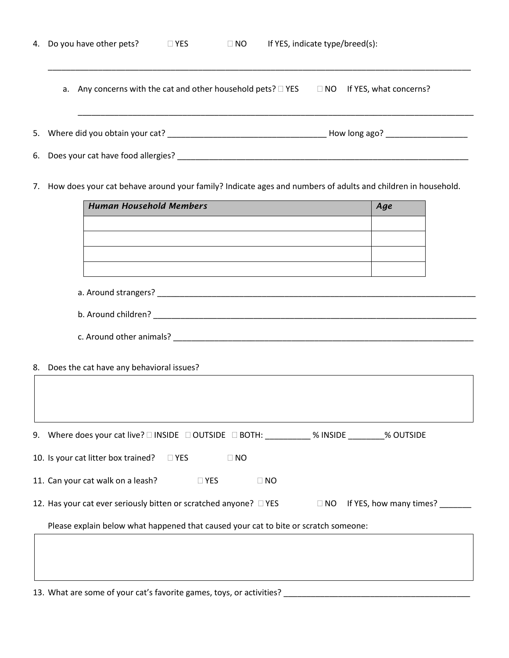| 4. Do you have other pets?                                                                                     | $\square$ YES                                              | $\Box$ NO |           | If YES, indicate type/breed(s): |                         |  |
|----------------------------------------------------------------------------------------------------------------|------------------------------------------------------------|-----------|-----------|---------------------------------|-------------------------|--|
| a. Any concerns with the cat and other household pets? □ YES □ NO If YES, what concerns?                       |                                                            |           |           |                                 |                         |  |
|                                                                                                                |                                                            |           |           |                                 |                         |  |
|                                                                                                                |                                                            |           |           |                                 |                         |  |
| 7. How does your cat behave around your family? Indicate ages and numbers of adults and children in household. |                                                            |           |           |                                 |                         |  |
| <b>Human Household Members</b>                                                                                 | <u> 1989 - Johann Stoff, amerikansk politiker (* 1908)</u> |           |           |                                 | Age                     |  |
|                                                                                                                |                                                            |           |           |                                 |                         |  |
|                                                                                                                |                                                            |           |           |                                 |                         |  |
|                                                                                                                |                                                            |           |           |                                 |                         |  |
| 8. Does the cat have any behavioral issues?                                                                    |                                                            |           |           |                                 |                         |  |
|                                                                                                                |                                                            |           |           |                                 |                         |  |
| 9. Where does your cat live? □ INSIDE □ OUTSIDE □ BOTH: ___________% INSIDE ________% OUTSIDE                  |                                                            |           |           |                                 |                         |  |
| 10. Is your cat litter box trained?                                                                            | $\square$ YES                                              | $\Box$ NO |           |                                 |                         |  |
| 11. Can your cat walk on a leash?                                                                              | $\square$ YES                                              |           | $\Box$ NO |                                 |                         |  |
| 12. Has your cat ever seriously bitten or scratched anyone? □ YES                                              |                                                            |           |           | $\Box$ NO                       | If YES, how many times? |  |
| Please explain below what happened that caused your cat to bite or scratch someone:                            |                                                            |           |           |                                 |                         |  |
|                                                                                                                |                                                            |           |           |                                 |                         |  |
|                                                                                                                |                                                            |           |           |                                 |                         |  |

13. What are some of your cat's favorite games, toys, or activities? \_\_\_\_\_\_\_\_\_\_\_\_\_\_\_\_\_\_\_\_\_\_\_\_\_\_\_\_\_\_\_\_\_\_\_\_\_\_\_\_\_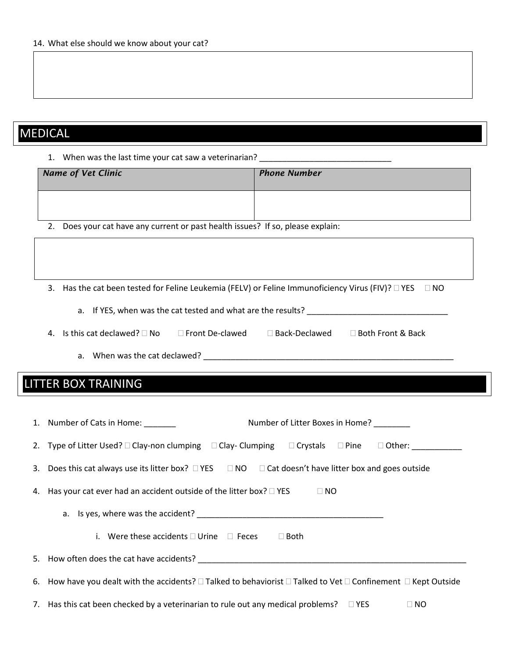## MEDICAL

1. When was the last time your cat saw a veterinarian? \_\_\_\_\_\_\_\_\_\_\_\_\_\_\_\_\_\_\_\_\_\_\_\_\_

| <b>Name of Vet Clinic</b>                                                       | <b>Phone Number</b> |
|---------------------------------------------------------------------------------|---------------------|
|                                                                                 |                     |
| 2. Does your cat have any current or past health issues? If so, please explain: |                     |

3. Has the cat been tested for Feline Leukemia (FELV) or Feline Immunoficiency Virus (FIV)?  $\Box$  YES  $\Box$  NO

- a. If YES, when was the cat tested and what are the results? \_\_\_\_\_\_\_\_\_\_\_\_\_\_\_\_\_\_\_\_\_\_\_\_\_\_\_\_\_\_\_
- 4. Is this cat declawed?  $\square$  No  $\square$  Front De-clawed  $\square$  Back-Declawed  $\square$  Both Front & Back

a. When was the cat declawed? \_\_\_\_\_\_\_\_\_\_\_\_\_\_\_\_\_\_\_\_\_\_\_\_\_\_\_\_\_\_\_\_\_\_\_\_\_\_\_\_\_\_\_\_\_\_\_\_\_\_\_\_\_\_\_

## LITTER BOX TRAINING

| Number of Litter Boxes in Home?<br>1. Number of Cats in Home:                                                                                                                                                                 |
|-------------------------------------------------------------------------------------------------------------------------------------------------------------------------------------------------------------------------------|
| 2. Type of Litter Used? $\square$ Clay-non clumping $\square$ Clay- Clumping $\square$ Crystals $\square$ Pine $\square$ Other:                                                                                               |
| 3. Does this cat always use its litter box? $\Box$ YES $\Box$ NO $\Box$ Cat doesn't have litter box and goes outside                                                                                                          |
| 4. Has your cat ever had an accident outside of the litter box? $\square$ YES<br>$\Box$ NO                                                                                                                                    |
|                                                                                                                                                                                                                               |
| i. Were these accidents $\Box$ Urine $\Box$ Feces<br>$\Box$ Both                                                                                                                                                              |
| 5. How often does the cat have accidents? The contract of the contract of the contract of the contract of the contract of the contract of the contract of the contract of the contract of the contract of the contract of the |
| 6. How have you dealt with the accidents? $\Box$ Talked to behaviorist $\Box$ Talked to Vet $\Box$ Confinement $\Box$ Kept Outside                                                                                            |
| 7. Has this cat been checked by a veterinarian to rule out any medical problems? $\square$ YES<br>$\square$ NO                                                                                                                |